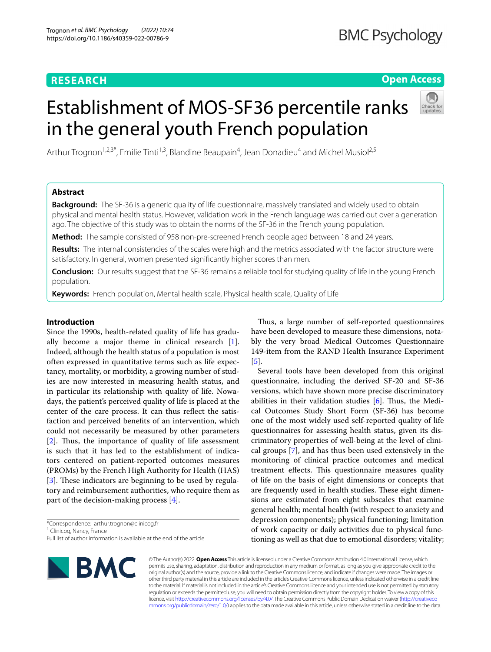# **RESEARCH**

# **Open Access**

# Establishment of MOS-SF36 percentile ranks in the general youth French population



Arthur Trognon<sup>1,2,3\*</sup>, Emilie Tinti<sup>1,3</sup>, Blandine Beaupain<sup>4</sup>, Jean Donadieu<sup>4</sup> and Michel Musiol<sup>2,5</sup>

# **Abstract**

**Background:** The SF-36 is a generic quality of life questionnaire, massively translated and widely used to obtain physical and mental health status. However, validation work in the French language was carried out over a generation ago. The objective of this study was to obtain the norms of the SF-36 in the French young population.

**Method:** The sample consisted of 958 non-pre-screened French people aged between 18 and 24 years.

**Results:** The internal consistencies of the scales were high and the metrics associated with the factor structure were satisfactory. In general, women presented signifcantly higher scores than men.

**Conclusion:** Our results suggest that the SF-36 remains a reliable tool for studying quality of life in the young French population.

**Keywords:** French population, Mental health scale, Physical health scale, Quality of Life

# **Introduction**

Since the 1990s, health-related quality of life has gradually become a major theme in clinical research [\[1](#page-4-0)]. Indeed, although the health status of a population is most often expressed in quantitative terms such as life expectancy, mortality, or morbidity, a growing number of studies are now interested in measuring health status, and in particular its relationship with quality of life. Nowadays, the patient's perceived quality of life is placed at the center of the care process. It can thus refect the satisfaction and perceived benefts of an intervention, which could not necessarily be measured by other parameters [[2\]](#page-4-1). Thus, the importance of quality of life assessment is such that it has led to the establishment of indicators centered on patient-reported outcomes measures (PROMs) by the French High Authority for Health (HAS) [[3\]](#page-4-2). These indicators are beginning to be used by regulatory and reimbursement authorities, who require them as part of the decision-making process [\[4](#page-4-3)].

\*Correspondence: arthur.trognon@clinicog.fr <sup>1</sup> Clinicog, Nancy, France

Full list of author information is available at the end of the article

Thus, a large number of self-reported questionnaires have been developed to measure these dimensions, notably the very broad Medical Outcomes Questionnaire 149-item from the RAND Health Insurance Experiment [[5\]](#page-4-4).

Several tools have been developed from this original questionnaire, including the derived SF-20 and SF-36 versions, which have shown more precise discriminatory abilities in their validation studies  $[6]$  $[6]$ . Thus, the Medical Outcomes Study Short Form (SF-36) has become one of the most widely used self-reported quality of life questionnaires for assessing health status, given its discriminatory properties of well-being at the level of clinical groups [\[7](#page-4-6)], and has thus been used extensively in the monitoring of clinical practice outcomes and medical treatment effects. This questionnaire measures quality of life on the basis of eight dimensions or concepts that are frequently used in health studies. These eight dimensions are estimated from eight subscales that examine general health; mental health (with respect to anxiety and depression components); physical functioning; limitation of work capacity or daily activities due to physical functioning as well as that due to emotional disorders; vitality;



© The Author(s) 2022. **Open Access** This article is licensed under a Creative Commons Attribution 4.0 International License, which permits use, sharing, adaptation, distribution and reproduction in any medium or format, as long as you give appropriate credit to the original author(s) and the source, provide a link to the Creative Commons licence, and indicate if changes were made. The images or other third party material in this article are included in the article's Creative Commons licence, unless indicated otherwise in a credit line to the material. If material is not included in the article's Creative Commons licence and your intended use is not permitted by statutory regulation or exceeds the permitted use, you will need to obtain permission directly from the copyright holder. To view a copy of this licence, visit [http://creativecommons.org/licenses/by/4.0/.](http://creativecommons.org/licenses/by/4.0/) The Creative Commons Public Domain Dedication waiver ([http://creativeco](http://creativecommons.org/publicdomain/zero/1.0/) [mmons.org/publicdomain/zero/1.0/](http://creativecommons.org/publicdomain/zero/1.0/)) applies to the data made available in this article, unless otherwise stated in a credit line to the data.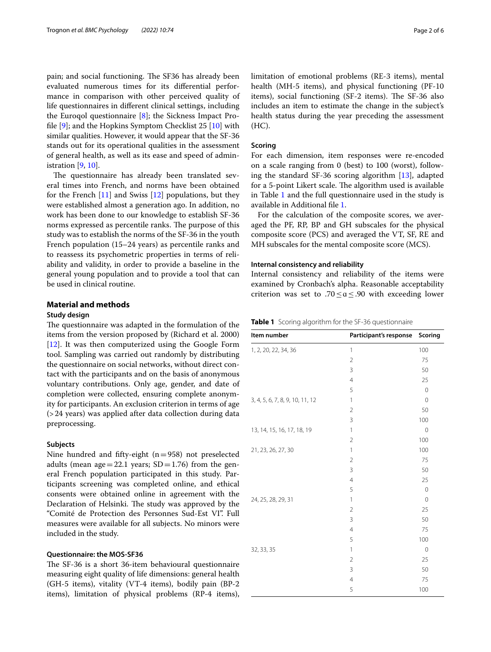pain; and social functioning. The SF36 has already been evaluated numerous times for its diferential performance in comparison with other perceived quality of life questionnaires in diferent clinical settings, including the Euroqol questionnaire [[8\]](#page-4-7); the Sickness Impact Profle [[9\]](#page-4-8); and the Hopkins Symptom Checklist 25 [[10\]](#page-4-9) with similar qualities. However, it would appear that the SF-36 stands out for its operational qualities in the assessment of general health, as well as its ease and speed of administration [[9](#page-4-8), [10\]](#page-4-9).

The questionnaire has already been translated several times into French, and norms have been obtained for the French [[11](#page-4-10)] and Swiss [[12\]](#page-4-11) populations, but they were established almost a generation ago. In addition, no work has been done to our knowledge to establish SF-36 norms expressed as percentile ranks. The purpose of this study was to establish the norms of the SF-36 in the youth French population (15–24 years) as percentile ranks and to reassess its psychometric properties in terms of reliability and validity, in order to provide a baseline in the general young population and to provide a tool that can be used in clinical routine.

# **Material and methods**

#### **Study design**

The questionnaire was adapted in the formulation of the items from the version proposed by (Richard et al. 2000) [[12\]](#page-4-11). It was then computerized using the Google Form tool. Sampling was carried out randomly by distributing the questionnaire on social networks, without direct contact with the participants and on the basis of anonymous voluntary contributions. Only age, gender, and date of completion were collected, ensuring complete anonymity for participants. An exclusion criterion in terms of age (>24 years) was applied after data collection during data preprocessing.

# **Subjects**

Nine hundred and fifty-eight  $(n=958)$  not preselected adults (mean age = 22.1 years;  $SD = 1.76$ ) from the general French population participated in this study. Participants screening was completed online, and ethical consents were obtained online in agreement with the Declaration of Helsinki. The study was approved by the "Comité de Protection des Personnes Sud-Est VI". Full measures were available for all subjects. No minors were included in the study.

## **Questionnaire: the MOS‑SF36**

The SF-36 is a short 36-item behavioural questionnaire measuring eight quality of life dimensions: general health (GH-5 items), vitality (VT-4 items), bodily pain (BP-2 items), limitation of physical problems (RP-4 items), limitation of emotional problems (RE-3 items), mental health (MH-5 items), and physical functioning (PF-10 items), social functioning (SF-2 items). The SF-36 also includes an item to estimate the change in the subject's health status during the year preceding the assessment (HC).

# **Scoring**

For each dimension, item responses were re-encoded on a scale ranging from 0 (best) to 100 (worst), following the standard SF-36 scoring algorithm [[13\]](#page-4-12), adapted for a 5-point Likert scale. The algorithm used is available in Table [1](#page-1-0) and the full questionnaire used in the study is available in Additional fle [1](#page-4-13).

For the calculation of the composite scores, we averaged the PF, RP, BP and GH subscales for the physical composite score (PCS) and averaged the VT, SF, RE and MH subscales for the mental composite score (MCS).

#### **Internal consistency and reliability**

Internal consistency and reliability of the items were examined by Cronbach's alpha. Reasonable acceptability criterion was set to .70  $\leq a \leq .90$  with exceeding lower

<span id="page-1-0"></span>**Table 1** Scoring algorithm for the SF-36 questionnaire

| Item number                     | Participant's response | Scoring      |
|---------------------------------|------------------------|--------------|
| 1, 2, 20, 22, 34, 36            | $\mathbf{1}$           | 100          |
|                                 | $\overline{2}$         | 75           |
|                                 | 3                      | 50           |
|                                 | $\overline{4}$         | 25           |
|                                 | 5                      | $\mathbf{0}$ |
| 3, 4, 5, 6, 7, 8, 9, 10, 11, 12 | 1                      | $\mathbf 0$  |
|                                 | $\overline{2}$         | 50           |
|                                 | 3                      | 100          |
| 13, 14, 15, 16, 17, 18, 19      | $\mathbf{1}$           | $\mathbf 0$  |
|                                 | $\overline{2}$         | 100          |
| 21, 23, 26, 27, 30              | 1                      | 100          |
|                                 | $\overline{2}$         | 75           |
|                                 | $\overline{3}$         | 50           |
|                                 | $\overline{4}$         | 25           |
|                                 | 5                      | $\mathbf 0$  |
| 24, 25, 28, 29, 31              | 1                      | $\mathbf 0$  |
|                                 | $\overline{2}$         | 25           |
|                                 | 3                      | 50           |
|                                 | $\overline{4}$         | 75           |
|                                 | 5                      | 100          |
| 32, 33, 35                      | 1                      | $\mathbf{0}$ |
|                                 | $\overline{2}$         | 25           |
|                                 | 3                      | 50           |
|                                 | $\overline{4}$         | 75           |
|                                 | 5                      | 100          |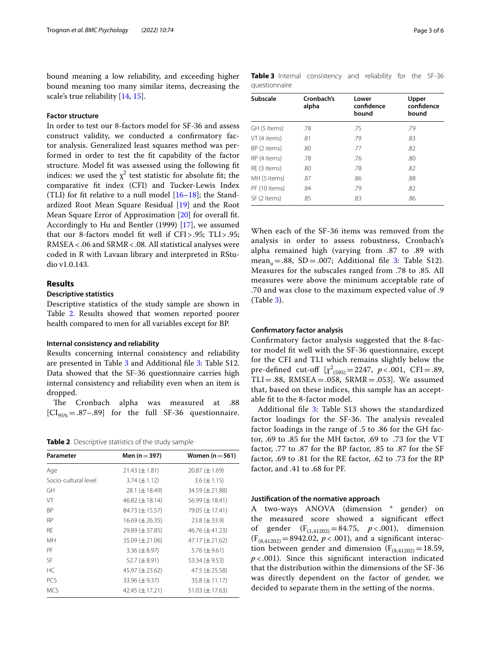bound meaning a low reliability, and exceeding higher bound meaning too many similar items, decreasing the scale's true reliability [\[14,](#page-4-14) [15](#page-4-15)].

# **Factor structure**

In order to test our 8-factors model for SF-36 and assess construct validity, we conducted a confrmatory factor analysis. Generalized least squares method was performed in order to test the ft capability of the factor structure. Model ft was assessed using the following ft indices: we used the  $\chi^2$  test statistic for absolute fit; the comparative ft index (CFI) and Tucker-Lewis Index (TLI) for fit relative to a null model  $[16–18]$  $[16–18]$  $[16–18]$  $[16–18]$ ; the Standardized Root Mean Square Residual [\[19](#page-4-18)] and the Root Mean Square Error of Approximation [[20](#page-4-19)] for overall ft. Accordingly to Hu and Bentler (1999) [[17](#page-4-20)], we assumed that our 8-factors model ft well if CFI>.95; TLI>.95; RMSEA<.06 and SRMR<.08. All statistical analyses were coded in R with Lavaan library and interpreted in RStudio v1.0.143.

## **Results**

## **Descriptive statistics**

Descriptive statistics of the study sample are shown in Table [2.](#page-2-0) Results showed that women reported poorer health compared to men for all variables except for BP.

#### **Internal consistency and reliability**

Results concerning internal consistency and reliability are presented in Table [3](#page-2-1) and Additional fle [3](#page-4-21): Table S12. Data showed that the SF-36 questionnaire carries high internal consistency and reliability even when an item is dropped.

The Cronbach alpha was measured at .88  $[CI_{95\%} = .87-.89]$  for the full SF-36 questionnaire.

<span id="page-2-0"></span>**Table 2** Descriptive statistics of the study sample

| Parameter            | Men ( $n = 397$ )     | Women $(n=561)$       |
|----------------------|-----------------------|-----------------------|
| Age                  | $21.43 \ (\pm 1.81)$  | $20.87 \ (\pm 1.69)$  |
| Socio-cultural level | $3.74 \ (\pm 1.12)$   | $3.6 (\pm 1.15)$      |
| GH.                  | 28.1 $(\pm 18.49)$    | $34.59 \ (\pm 21.88)$ |
| VT                   | 46.82 $(\pm 18.14)$   | $56.99 \ (\pm 18.41)$ |
| <b>BP</b>            | 84.73 $(\pm 15.57)$   | 79.05 (± 17.41)       |
| <b>RP</b>            | $16.69 \ (\pm 26.35)$ | $23.8 (\pm 33.9)$     |
| <b>RF</b>            | $29.89 \ (\pm 37.85)$ | 46.76 $(\pm 41.23)$   |
| MH                   | $35.09 \ (\pm 21.06)$ | $47.17 (\pm 21.62)$   |
| PF                   | $3.36 \ (\pm 8.97)$   | $5.76 \ (\pm 9.61)$   |
| SF                   | 52.7 $(\pm 8.91)$     | 53.34 $(\pm 9.53)$    |
| HC.                  | 45.97 $(\pm 23.62)$   | 47.5 ( $\pm$ 25.58)   |
| PCS                  | $33.96 \ (\pm 9.37)$  | $35.8 (\pm 11.17)$    |
| <b>MCS</b>           | 42.45 $(\pm 17.21)$   | 51.03 $(\pm 17.63)$   |

<span id="page-2-1"></span>**Table 3** Internal consistency and reliability for the SF-36 questionnaire

| Subscale      | Cronbach's<br>alpha | Lower<br>confidence<br>bound | Upper<br>confidence<br>bound |
|---------------|---------------------|------------------------------|------------------------------|
| GH (5 items)  | .78                 | .75                          | .79                          |
| VT (4 items)  | .81                 | .79                          | .83                          |
| BP (2 items)  | .80                 | .77                          | .82                          |
| RP (4 items)  | .78                 | .76                          | .80                          |
| RE (3 items)  | .80                 | .78                          | .82                          |
| MH (5 items)  | .87                 | .86                          | .88                          |
| PF (10 items) | .84                 | .79                          | .82                          |
| SF (2 items)  | .85                 | .83                          | .86                          |

When each of the SF-36 items was removed from the analysis in order to assess robustness, Cronbach's alpha remained high (varying from .87 to .89 with mean<sub>a</sub> = .88, SD = .007; Additional file [3](#page-4-21): Table S12). Measures for the subscales ranged from .78 to .85. All measures were above the minimum acceptable rate of .70 and was close to the maximum expected value of .9 (Table [3\)](#page-2-1).

# **Confrmatory factor analysis**

Confrmatory factor analysis suggested that the 8-factor model ft well with the SF-36 questionnaire, except for the CFI and TLI which remains slightly below the pre-defined cut-off  $[\chi^2_{(595)} = 2247, p < .001, CFI = .89,$  $TLI=.88$ , RMSEA = .058, SRMR = .053]. We assumed that, based on these indices, this sample has an acceptable ft to the 8-factor model.

Additional file [3:](#page-4-21) Table S13 shows the standardized factor loadings for the SF-36. The analysis revealed factor loadings in the range of .5 to .86 for the GH factor, .69 to .85 for the MH factor, .69 to .73 for the VT factor, .77 to .87 for the BP factor, .85 to .87 for the SF factor, .69 to .81 for the RE factor, .62 to .73 for the RP factor, and .41 to .68 for PF.

#### **Justifcation of the normative approach**

A two-ways ANOVA (dimension \* gender) on the measured score showed a signifcant efect of gender (F(1,41202)=84.75, *p* < .001), dimension  $(F_{(8,41202)}=8942.02, p<.001)$ , and a significant interaction between gender and dimension  $(F_{(8,41202)}=18.59)$ ,  $p < .001$ ). Since this significant interaction indicated that the distribution within the dimensions of the SF-36 was directly dependent on the factor of gender, we decided to separate them in the setting of the norms.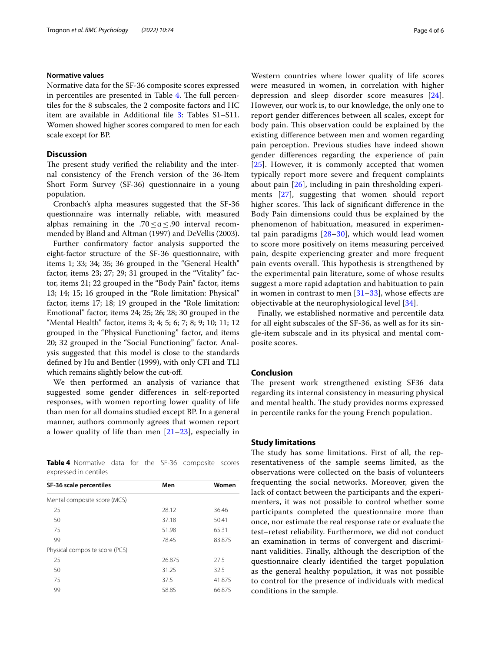#### **Normative values**

Normative data for the SF-36 composite scores expressed in percentiles are presented in Table [4.](#page-3-0) The full percentiles for the 8 subscales, the 2 composite factors and HC item are available in Additional fle [3](#page-4-21): Tables S1–S11. Women showed higher scores compared to men for each scale except for BP.

# **Discussion**

The present study verified the reliability and the internal consistency of the French version of the 36-Item Short Form Survey (SF-36) questionnaire in a young population.

Cronbach's alpha measures suggested that the SF-36 questionnaire was internally reliable, with measured alphas remaining in the .70 ≤  $a$  ≤ .90 interval recommended by Bland and Altman (1997) and DeVellis (2003).

Further confrmatory factor analysis supported the eight-factor structure of the SF-36 questionnaire, with items 1; 33; 34; 35; 36 grouped in the "General Health" factor, items 23; 27; 29; 31 grouped in the "Vitality" factor, items 21; 22 grouped in the "Body Pain" factor, items 13; 14; 15; 16 grouped in the "Role limitation: Physical" factor, items 17; 18; 19 grouped in the "Role limitation: Emotional" factor, items 24; 25; 26; 28; 30 grouped in the "Mental Health" factor, items 3; 4; 5; 6; 7; 8; 9; 10; 11; 12 grouped in the "Physical Functioning" factor, and items 20; 32 grouped in the "Social Functioning" factor. Analysis suggested that this model is close to the standards defned by Hu and Bentler (1999), with only CFI and TLI which remains slightly below the cut-off.

We then performed an analysis of variance that suggested some gender diferences in self-reported responses, with women reporting lower quality of life than men for all domains studied except BP. In a general manner, authors commonly agrees that women report a lower quality of life than men  $[21-23]$  $[21-23]$  $[21-23]$ , especially in

<span id="page-3-0"></span>**Table 4** Normative data for the SF-36 composite scores expressed in centiles

| SF-36 scale percentiles        | Men    | Women  |
|--------------------------------|--------|--------|
| Mental composite score (MCS)   |        |        |
| 25                             | 28.12  | 36.46  |
| 50                             | 37.18  | 50.41  |
| 75                             | 51.98  | 65.31  |
| 99                             | 78.45  | 83.875 |
| Physical composite score (PCS) |        |        |
| 25                             | 26.875 | 27.5   |
| 50                             | 31.25  | 32.5   |
| 75                             | 37.5   | 41.875 |
| 99                             | 58.85  | 66.875 |

Western countries where lower quality of life scores were measured in women, in correlation with higher depression and sleep disorder score measures [[24](#page-4-24)]. However, our work is, to our knowledge, the only one to report gender diferences between all scales, except for body pain. This observation could be explained by the existing diference between men and women regarding pain perception. Previous studies have indeed shown gender diferences regarding the experience of pain [[25](#page-4-25)]. However, it is commonly accepted that women typically report more severe and frequent complaints about pain [[26](#page-4-26)], including in pain thresholding experiments [[27](#page-4-27)], suggesting that women should report higher scores. This lack of significant difference in the Body Pain dimensions could thus be explained by the phenomenon of habituation, measured in experimental pain paradigms [\[28](#page-4-28)[–30\]](#page-5-0), which would lead women to score more positively on items measuring perceived pain, despite experiencing greater and more frequent pain events overall. This hypothesis is strengthened by the experimental pain literature, some of whose results suggest a more rapid adaptation and habituation to pain in women in contrast to men  $[31-33]$  $[31-33]$ , whose effects are objectivable at the neurophysiological level [[34\]](#page-5-3).

Finally, we established normative and percentile data for all eight subscales of the SF-36, as well as for its single-item subscale and in its physical and mental composite scores.

## **Conclusion**

The present work strengthened existing SF36 data regarding its internal consistency in measuring physical and mental health. The study provides norms expressed in percentile ranks for the young French population.

## **Study limitations**

The study has some limitations. First of all, the representativeness of the sample seems limited, as the observations were collected on the basis of volunteers frequenting the social networks. Moreover, given the lack of contact between the participants and the experimenters, it was not possible to control whether some participants completed the questionnaire more than once, nor estimate the real response rate or evaluate the test–retest reliability. Furthermore, we did not conduct an examination in terms of convergent and discriminant validities. Finally, although the description of the questionnaire clearly identifed the target population as the general healthy population, it was not possible to control for the presence of individuals with medical conditions in the sample.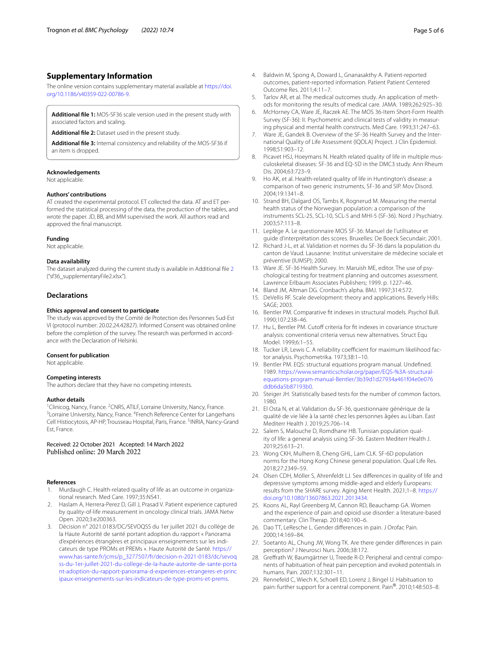# **Supplementary Information**

The online version contains supplementary material available at [https://doi.](https://doi.org/10.1186/s40359-022-00786-9) [org/10.1186/s40359-022-00786-9](https://doi.org/10.1186/s40359-022-00786-9).

<span id="page-4-29"></span><span id="page-4-13"></span>**Additional fle 1:** MOS-SF36 scale version used in the present study with associated factors and scaling.

<span id="page-4-21"></span>**Additional fle 2:** Dataset used in the present study.

**Additional fle 3:** Internal consistency and reliability of the MOS-SF36 if an item is dropped.

#### **Acknowledgements**

Not applicable.

#### **Authors' contributions**

AT created the experimental protocol. ET collected the data. AT and ET performed the statistical processing of the data, the production of the tables, and wrote the paper. JD, BB, and MM supervised the work. All authors read and approved the fnal manuscript.

#### **Funding**

Not applicable.

### **Data availability**

The dataset analyzed during the current study is available in Additional fle [2](#page-4-29) ("sf36\_supplementaryFile2.xlsx").

# **Declarations**

#### **Ethics approval and consent to participate**

The study was approved by the Comité de Protection des Personnes Sud-Est VI (protocol number: 20.02.24.42827). Informed Consent was obtained online before the completion of the survey. The research was performed in accordance with the Declaration of Helsinki.

#### **Consent for publication**

Not applicable.

# **Competing interests**

The authors declare that they have no competing interests.

#### **Author details**

<sup>1</sup> Clinicog, Nancy, France. <sup>2</sup> CNRS, ATILF, Lorraine University, Nancy, France.<br><sup>3</sup> Lorraine University, Nancy, France. <sup>4</sup> French Beference Center for Langerh Lorraine University, Nancy, France. <sup>4</sup> French Reference Center for Langerhans Cell Histiocytosis, AP-HP, Trousseau Hospital, Paris, France. <sup>5</sup>INRIA, Nancy-Grand Est, France.

#### Received: 22 October 2021 Accepted: 14 March 2022 Published online: 20 March 2022

#### **References**

- <span id="page-4-0"></span>1. Murdaugh C. Health-related quality of life as an outcome in organizational research. Med Care. 1997;35:NS41.
- <span id="page-4-1"></span>2. Haslam A, Herrera-Perez D, Gill J, Prasad V. Patient experience captured by quality-of-life measurement in oncology clinical trials. JAMA Netw Open. 2020;3:e200363.
- <span id="page-4-2"></span>3. Décision n° 2021.0183/DC/SEVOQSS du 1er juillet 2021 du collège de la Haute Autorité de santé portant adoption du rapport « Panorama d'expériences étrangères et principaux enseignements sur les indicateurs de type PROMs et PREMs ». Haute Autorité de Santé. [https://](https://www.has-sante.fr/jcms/p_3277507/fr/decision-n-2021-0183/dc/sevoqss-du-1er-juillet-2021-du-college-de-la-haute-autorite-de-sante-portant-adoption-du-rapport-panorama-d-experiences-etrangeres-et-principaux-enseignements-sur-les-indicateurs-de-type-proms-et-prems) [www.has-sante.fr/jcms/p\\_3277507/fr/decision-n-2021-0183/dc/sevoq](https://www.has-sante.fr/jcms/p_3277507/fr/decision-n-2021-0183/dc/sevoqss-du-1er-juillet-2021-du-college-de-la-haute-autorite-de-sante-portant-adoption-du-rapport-panorama-d-experiences-etrangeres-et-principaux-enseignements-sur-les-indicateurs-de-type-proms-et-prems) [ss-du-1er-juillet-2021-du-college-de-la-haute-autorite-de-sante-porta](https://www.has-sante.fr/jcms/p_3277507/fr/decision-n-2021-0183/dc/sevoqss-du-1er-juillet-2021-du-college-de-la-haute-autorite-de-sante-portant-adoption-du-rapport-panorama-d-experiences-etrangeres-et-principaux-enseignements-sur-les-indicateurs-de-type-proms-et-prems) [nt-adoption-du-rapport-panorama-d-experiences-etrangeres-et-princ](https://www.has-sante.fr/jcms/p_3277507/fr/decision-n-2021-0183/dc/sevoqss-du-1er-juillet-2021-du-college-de-la-haute-autorite-de-sante-portant-adoption-du-rapport-panorama-d-experiences-etrangeres-et-principaux-enseignements-sur-les-indicateurs-de-type-proms-et-prems) [ipaux-enseignements-sur-les-indicateurs-de-type-proms-et-prems.](https://www.has-sante.fr/jcms/p_3277507/fr/decision-n-2021-0183/dc/sevoqss-du-1er-juillet-2021-du-college-de-la-haute-autorite-de-sante-portant-adoption-du-rapport-panorama-d-experiences-etrangeres-et-principaux-enseignements-sur-les-indicateurs-de-type-proms-et-prems)
- <span id="page-4-3"></span>4. Baldwin M, Spong A, Doward L, Gnanasakthy A. Patient-reported outcomes, patient-reported information. Patient Patient Centered Outcome Res. 2011;4:11–7.
- <span id="page-4-4"></span>5. Tarlov AR, et al. The medical outcomes study. An application of methods for monitoring the results of medical care. JAMA. 1989;262:925–30.
- <span id="page-4-5"></span>6. McHorney CA, Ware JE, Raczek AE. The MOS 36-Item Short-Form Health Survey (SF-36): II. Psychometric and clinical tests of validity in measuring physical and mental health constructs. Med Care. 1993;31:247–63.
- <span id="page-4-6"></span>7. Ware JE, Gandek B. Overview of the SF-36 Health Survey and the International Quality of Life Assessment (IQOLA) Project. J Clin Epidemiol. 1998;51:903–12.
- <span id="page-4-7"></span>8. Picavet HSJ, Hoeymans N. Health related quality of life in multiple musculoskeletal diseases: SF-36 and EQ-5D in the DMC3 study. Ann Rheum Dis. 2004;63:723–9.
- <span id="page-4-8"></span>9. Ho AK, et al. Health-related quality of life in Huntington's disease: a comparison of two generic instruments, SF-36 and SIP. Mov Disord. 2004;19:1341–8.
- <span id="page-4-9"></span>10. Strand BH, Dalgard OS, Tambs K, Rognerud M. Measuring the mental health status of the Norwegian population: a comparison of the instruments SCL-25, SCL-10, SCL-5 and MHI-5 (SF-36). Nord J Psychiatry. 2003;57:113–8.
- <span id="page-4-10"></span>11. Leplège A. Le questionnaire MOS SF-36: Manuel de l'utilisateur et guide d'interprétation des scores. Bruxelles: De Boeck Secundair; 2001.
- <span id="page-4-11"></span>12. Richard J-L, et al. Validation et normes du SF-36 dans la population du canton de Vaud. Lausanne: Institut universitaire de médecine sociale et préventive (IUMSP); 2000.
- <span id="page-4-12"></span>13. Ware JE. SF-36 Health Survey. In: Maruish ME, editor. The use of psychological testing for treatment planning and outcomes assessment. Lawrence Erlbaum Associates Publishers; 1999. p. 1227–46.
- <span id="page-4-14"></span>14. Bland JM, Altman DG. Cronbach's alpha. BMJ. 1997;314:572.
- <span id="page-4-15"></span>15. DeVellis RF. Scale development: theory and applications. Beverly Hills: SAGE; 2003.
- <span id="page-4-16"></span>16. Bentler PM. Comparative ft indexes in structural models. Psychol Bull. 1990;107:238–46.
- <span id="page-4-20"></span>17. Hu L, Bentler PM. Cutoff criteria for fit indexes in covariance structure analysis: conventional criteria versus new alternatives. Struct Equ Model. 1999;6:1–55.
- <span id="page-4-17"></span>18. Tucker LR, Lewis C. A reliability coefficient for maximum likelihood factor analysis. Psychometrika. 1973;38:1–10.
- <span id="page-4-18"></span>19. Bentler PM. EQS: structural equations program manual. Undefned. 1989. [https://www.semanticscholar.org/paper/EQS-%3A-structural](https://www.semanticscholar.org/paper/EQS-%3A-structural-equations-program-manual-Bentler/3b39d1d27934a461f04e0e076ddb6da5b87193b0)[equations-program-manual-Bentler/3b39d1d27934a461f04e0e076](https://www.semanticscholar.org/paper/EQS-%3A-structural-equations-program-manual-Bentler/3b39d1d27934a461f04e0e076ddb6da5b87193b0) [ddb6da5b87193b0.](https://www.semanticscholar.org/paper/EQS-%3A-structural-equations-program-manual-Bentler/3b39d1d27934a461f04e0e076ddb6da5b87193b0)
- <span id="page-4-19"></span>20. Steiger JH. Statistically based tests for the number of common factors. 1980.
- <span id="page-4-22"></span>21. El Osta N, et al. Validation du SF-36, questionnaire générique de la qualité de vie liée à la santé chez les personnes âgées au Liban. East Mediterr Health J. 2019;25:706–14.
- 22. Salem S, Malouche D, Romdhane HB. Tunisian population quality of life: a general analysis using SF-36. Eastern Mediterr Health J. 2019;25:613–21.
- <span id="page-4-23"></span>23. Wong CKH, Mulhern B, Cheng GHL, Lam CLK. SF-6D population norms for the Hong Kong Chinese general population. Qual Life Res. 2018;27:2349–59.
- <span id="page-4-24"></span>24. Olsen CDH, Möller S, Ahrenfeldt LJ. Sex diferences in quality of life and depressive symptoms among middle-aged and elderly Europeans: results from the SHARE survey. Aging Ment Health. 2021;1–8. [https://](https://doi.org/10.1080/13607863.2021.2013434) [doi.org/10.1080/13607863.2021.2013434](https://doi.org/10.1080/13607863.2021.2013434).
- <span id="page-4-25"></span>25. Koons AL, Rayl Greenberg M, Cannon RD, Beauchamp GA. Women and the experience of pain and opioid use disorder: a literature-based commentary. Clin Therap. 2018;40:190–6.
- <span id="page-4-26"></span>26. Dao TT, LeResche L. Gender diferences in pain. J Orofac Pain. 2000;14:169–84.
- <span id="page-4-27"></span>27. Soetanto AL, Chung JW, Wong TK. Are there gender diferences in pain perception? J Neurosci Nurs. 2006;38:172.
- <span id="page-4-28"></span>28. Grefrath W, Baumgärtner U, Treede R-D. Peripheral and central components of habituation of heat pain perception and evoked potentials in humans. Pain. 2007;132:301–11.
- 29. Rennefeld C, Wiech K, Schoell ED, Lorenz J, Bingel U. Habituation to pain: further support for a central component. Pain®. 2010;148:503–8.